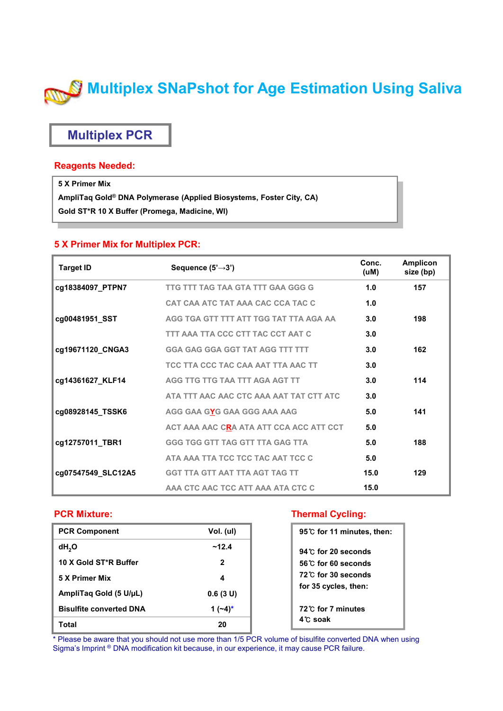# **Multiplex SNaPshot for Age Estimation Using Saliva**

### **Multiplex PCR**

#### **Reagents Needed:**

**5 X Primer Mix AmpliTaq Gold® DNA Polymerase (Applied Biosystems, Foster City, CA)**

**Gold ST\*R 10 X Buffer (Promega, Madicine, WI)**

#### **5 X Primer Mix for Multiplex PCR:**

| <b>Target ID</b><br>Sequence $(5' \rightarrow 3')$ |                                         | Conc.<br>(uM) | <b>Amplicon</b><br>size (bp) |  |
|----------------------------------------------------|-----------------------------------------|---------------|------------------------------|--|
| cg18384097_PTPN7                                   | TTG TTT TAG TAA GTA TTT GAA GGG G       | 1.0           | 157                          |  |
|                                                    | CAT CAA ATC TAT AAA CAC CCA TAC C       | 1.0           |                              |  |
| cg00481951_SST                                     | AGG TGA GTT TTT ATT TGG TAT TTA AGA AA  | 3.0           | 198                          |  |
|                                                    | TTT AAA TTA CCC CTT TAC CCT AAT C       | 3.0           |                              |  |
| cg19671120_CNGA3                                   | <b>GGA GAG GGA GGT TAT AGG TTT TTT</b>  | 3.0           | 162                          |  |
|                                                    | TCC TTA CCC TAC CAA AAT TTA AAC TT      | 3.0           |                              |  |
| cg14361627_KLF14                                   | AGG TTG TTG TAA TTT AGA AGT TT          | 3.0           | 114                          |  |
|                                                    | ATA TTT AAC AAC CTC AAA AAT TAT CTT ATC | 3.0           |                              |  |
| cg08928145_TSSK6                                   | AGG GAA GYG GAA GGG AAA AAG             | 5.0           | 141                          |  |
|                                                    | ACT AAA AAC CRA ATA ATT CCA ACC ATT CCT | 5.0           |                              |  |
| cg12757011_TBR1                                    | <b>GGG TGG GTT TAG GTT TTA GAG TTA</b>  | 5.0           | 188                          |  |
|                                                    | ATA AAA TTA TCC TCC TAC AAT TCC C       | 5.0           |                              |  |
| cg07547549_SLC12A5                                 | <b>GGT TTA GTT AAT TTA AGT TAG TT</b>   | 15.0          | 129                          |  |
|                                                    | AAA CTC AAC TCC ATT AAA ATA CTC C       | 15.0          |                              |  |

#### **PCR Mixture:**

| <b>PCR Component</b>           | Vol. (ul)  |
|--------------------------------|------------|
| dH <sub>2</sub> O              | ~12.4      |
| 10 X Gold ST*R Buffer          | 2          |
| 5 X Primer Mix                 | 4          |
| AmpliTag Gold (5 U/µL)         | 0.6(3 U)   |
| <b>Bisulfite converted DNA</b> | 1 $(-4)^*$ |
| Total                          | 20         |

#### **Thermal Cycling:**

| 95 °C for 11 minutes, then:      |  |
|----------------------------------|--|
| $94^\circ$ for 20 seconds        |  |
| 56 C for 60 seconds              |  |
| 72 <sup>°</sup> C for 30 seconds |  |
| for 35 cycles, then:             |  |
| 72 C for 7 minutes               |  |
| 4℃ soak                          |  |

\* Please be aware that you should not use more than 1/5 PCR volume of bisulfite converted DNA when using Sigma's Imprint ® DNA modification kit because, in our experience, it may cause PCR failure.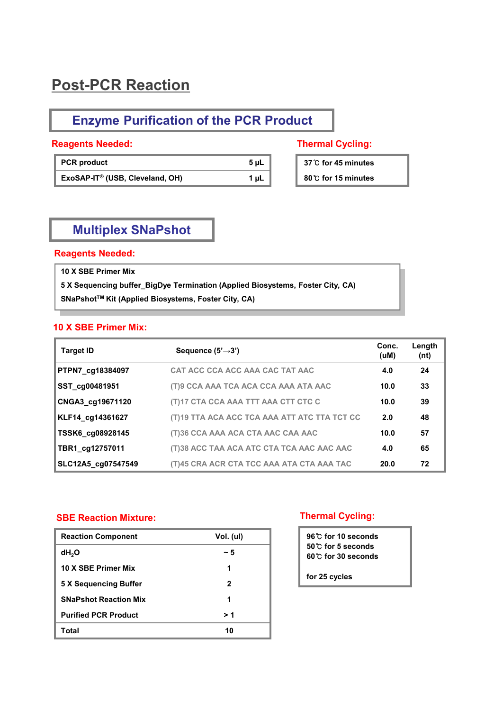## **Post-PCR Reaction**

### **Enzyme Purification of the PCR Product**

#### **Reagents Needed: Thermal Cycling:**

| <b>PCR</b> product                          | 5 uL      |
|---------------------------------------------|-----------|
| ExoSAP-IT <sup>®</sup> (USB, Cleveland, OH) | $1 \mu L$ |

**37**℃ **for 45 minutes** 

#### **80**℃ **for 15 minutes**

#### **Multiplex SNaPshot**

#### **Reagents Needed:**

**10 X SBE Primer Mix**

**5 X Sequencing buffer\_BigDye Termination (Applied Biosystems, Foster City, CA) SNaPshotTM Kit (Applied Biosystems, Foster City, CA)**

#### **10 X SBE Primer Mix:**

| <b>Target ID</b>   | Sequence $(5' \rightarrow 3')$               | Conc.<br>(uM) | Length<br>(nt) |
|--------------------|----------------------------------------------|---------------|----------------|
| PTPN7 cg18384097   | CAT ACC CCA ACC AAA CAC TAT AAC              | 4.0           | 24             |
| SST cg00481951     | (T)9 CCA AAA TCA ACA CCA AAA ATA AAC         | 10.0          | 33             |
| CNGA3_cg19671120   | (T)17 CTA CCA AAA TTT AAA CTT CTC C          | 10.0          | 39             |
| KLF14_cg14361627   | (T)19 TTA ACA ACC TCA AAA ATT ATC TTA TCT CC | 2.0           | 48             |
| TSSK6 cg08928145   | (T)36 CCA AAA ACA CTA AAC CAA AAC            | 10.0          | 57             |
| TBR1_cg12757011    | (T)38 ACC TAA ACA ATC CTA TCA AAC AAC AAC    | 4.0           | 65             |
| SLC12A5_cg07547549 | (T)45 CRA ACR CTA TCC AAA ATA CTA AAA TAC    | 20.0          | 72             |

#### **SBE Reaction Mixture:**

| <b>Reaction Component</b>    | Vol. (ul) |
|------------------------------|-----------|
| dH <sub>2</sub> O            | ~ 5       |
| 10 X SBE Primer Mix          | 1         |
| 5 X Sequencing Buffer        | 2         |
| <b>SNaPshot Reaction Mix</b> | 1         |
| <b>Purified PCR Product</b>  | > 1       |
| Total                        | 10        |

#### **Thermal Cycling:**

**96**℃ **for 10 seconds 50**℃ **for 5 seconds 60**℃ **for 30 seconds**

**for 25 cycles**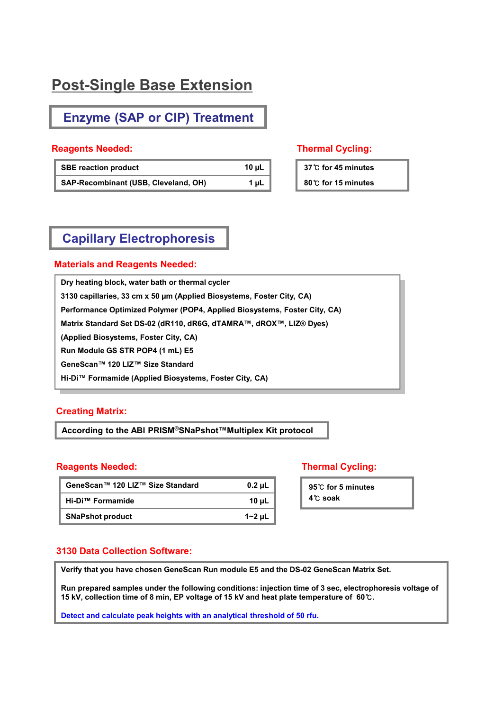## **Post-Single Base Extension**

### **Enzyme (SAP or CIP) Treatment**

#### **Reagents Needed: Thermal Cycling:**

| <b>SBE reaction product</b>          | 10 $\mu$ L |
|--------------------------------------|------------|
| SAP-Recombinant (USB, Cleveland, OH) | 1 uL       |

**37**℃ **for 45 minutes** 

**80**℃ **for 15 minutes** 

#### **Capillary Electrophoresis**

#### **Materials and Reagents Needed:**

**Dry heating block, water bath or thermal cycler 3130 capillaries, 33 cm x 50 µm (Applied Biosystems, Foster City, CA) Performance Optimized Polymer (POP4, Applied Biosystems, Foster City, CA) Matrix Standard Set DS-02 (dR110, dR6G, dTAMRA™, dROX™, LIZ® Dyes) (Applied Biosystems, Foster City, CA) Run Module GS STR POP4 (1 mL) E5 GeneScan™ 120 LIZ™ Size Standard Hi-Di™ Formamide (Applied Biosystems, Foster City, CA)**

#### **Creating Matrix:**

**According to the ABI PRISM®SNaPshot™Multiplex Kit protocol**

#### **Reagents Needed: Thermal Cycling:**

| GeneScan™ 120 LIZ™ Size Standard | $0.2 \mu L$ |
|----------------------------------|-------------|
| Hi-Di™ Formamide                 | 10 uL       |
| <b>SNaPshot product</b>          | $1 - 2$ µL  |

**95**℃ **for 5 minutes 4**℃ **soak**

#### **3130 Data Collection Software:**

**Verify that you have chosen GeneScan Run module E5 and the DS-02 GeneScan Matrix Set.**

**Run prepared samples under the following conditions: injection time of 3 sec, electrophoresis voltage of 15 kV, collection time of 8 min, EP voltage of 15 kV and heat plate temperature of 60**℃**.**

**Detect and calculate peak heights with an analytical threshold of 50 rfu.**